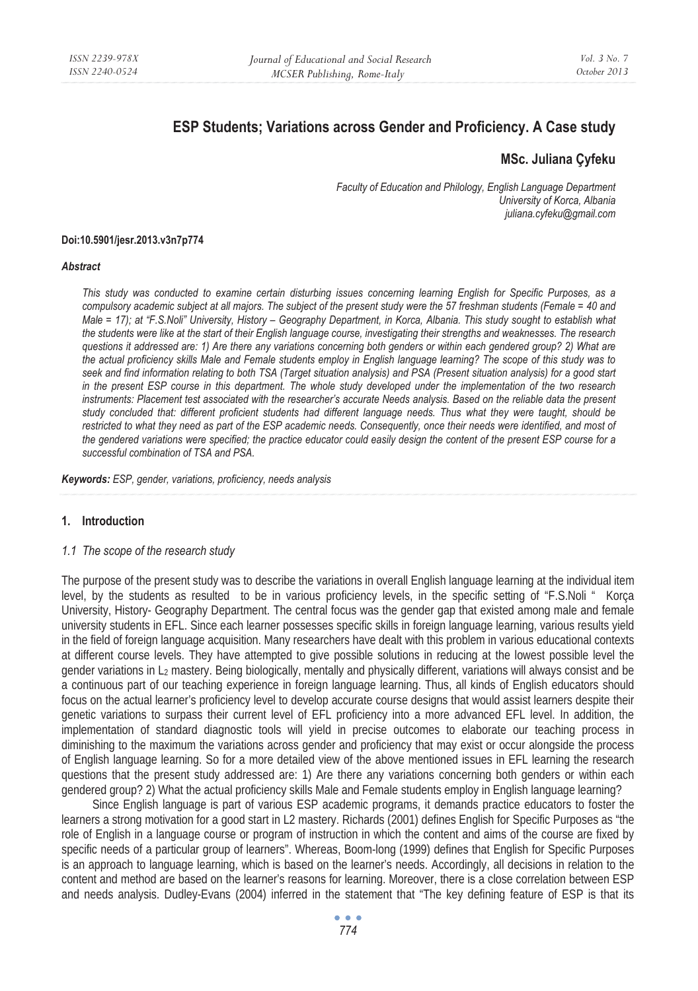# **ESP Students; Variations across Gender and Proficiency. A Case study**

## **MSc. Juliana Çyfeku**

*Faculty of Education and Philology, English Language Department University of Korca, Albania juliana.cyfeku@gmail.com* 

#### **Doi:10.5901/jesr.2013.v3n7p774**

#### *Abstract*

*This study was conducted to examine certain disturbing issues concerning learning English for Specific Purposes, as a compulsory academic subject at all majors. The subject of the present study were the 57 freshman students (Female = 40 and Male = 17); at "F.S.Noli" University, History – Geography Department, in Korca, Albania. This study sought to establish what the students were like at the start of their English language course, investigating their strengths and weaknesses. The research questions it addressed are: 1) Are there any variations concerning both genders or within each gendered group? 2) What are the actual proficiency skills Male and Female students employ in English language learning? The scope of this study was to*  seek and find information relating to both TSA (Target situation analysis) and PSA (Present situation analysis) for a good start *in the present ESP course in this department. The whole study developed under the implementation of the two research*  instruments: Placement test associated with the researcher's accurate Needs analysis. Based on the reliable data the present *study concluded that: different proficient students had different language needs. Thus what they were taught, should be*  restricted to what they need as part of the ESP academic needs. Consequently, once their needs were identified, and most of *the gendered variations were specified; the practice educator could easily design the content of the present ESP course for a successful combination of TSA and PSA.* 

*Keywords: ESP, gender, variations, proficiency, needs analysis* 

#### **1. Introduction**

#### *1.1 The scope of the research study*

The purpose of the present study was to describe the variations in overall English language learning at the individual item level, by the students as resulted to be in various proficiency levels, in the specific setting of "F.S.Noli " Korça University, History- Geography Department. The central focus was the gender gap that existed among male and female university students in EFL. Since each learner possesses specific skills in foreign language learning, various results yield in the field of foreign language acquisition. Many researchers have dealt with this problem in various educational contexts at different course levels. They have attempted to give possible solutions in reducing at the lowest possible level the gender variations in L<sub>2</sub> mastery. Being biologically, mentally and physically different, variations will always consist and be a continuous part of our teaching experience in foreign language learning. Thus, all kinds of English educators should focus on the actual learner's proficiency level to develop accurate course designs that would assist learners despite their genetic variations to surpass their current level of EFL proficiency into a more advanced EFL level. In addition, the implementation of standard diagnostic tools will yield in precise outcomes to elaborate our teaching process in diminishing to the maximum the variations across gender and proficiency that may exist or occur alongside the process of English language learning. So for a more detailed view of the above mentioned issues in EFL learning the research questions that the present study addressed are: 1) Are there any variations concerning both genders or within each gendered group? 2) What the actual proficiency skills Male and Female students employ in English language learning?

Since English language is part of various ESP academic programs, it demands practice educators to foster the learners a strong motivation for a good start in L2 mastery. Richards (2001) defines English for Specific Purposes as "the role of English in a language course or program of instruction in which the content and aims of the course are fixed by specific needs of a particular group of learners". Whereas, Boom-long (1999) defines that English for Specific Purposes is an approach to language learning, which is based on the learner's needs. Accordingly, all decisions in relation to the content and method are based on the learner's reasons for learning. Moreover, there is a close correlation between ESP and needs analysis. Dudley-Evans (2004) inferred in the statement that "The key defining feature of ESP is that its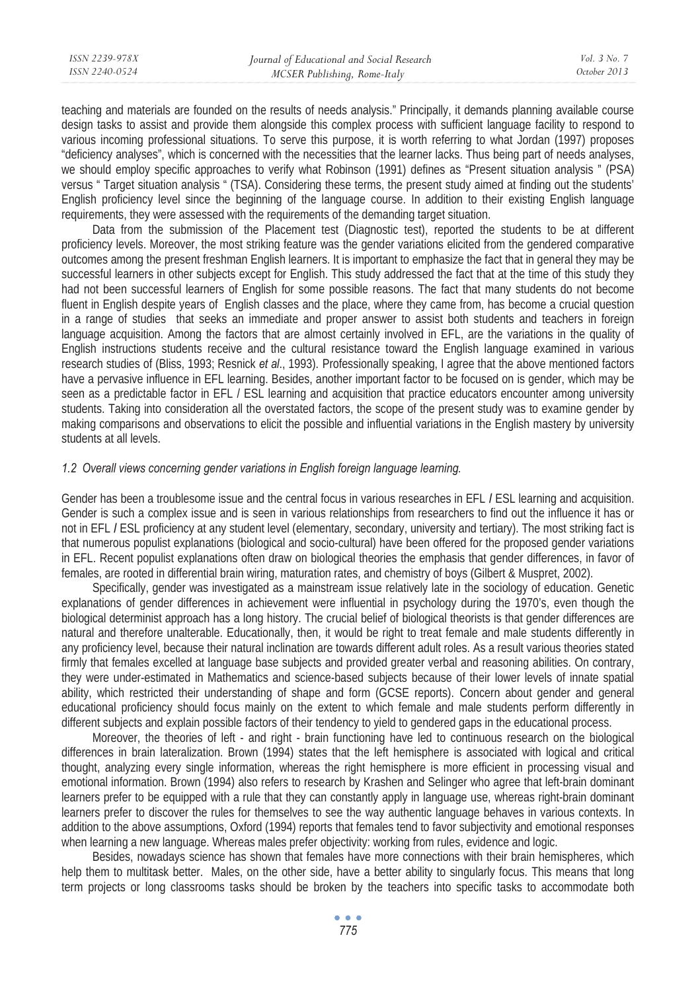| ISSN 2239-978X | Journal of Educational and Social Research | Vol. 3 No. 7 |
|----------------|--------------------------------------------|--------------|
| ISSN 2240-0524 | MCSER Publishing, Rome-Italy               | October 2013 |
|                |                                            |              |

teaching and materials are founded on the results of needs analysis." Principally, it demands planning available course design tasks to assist and provide them alongside this complex process with sufficient language facility to respond to various incoming professional situations. To serve this purpose, it is worth referring to what Jordan (1997) proposes "deficiency analyses", which is concerned with the necessities that the learner lacks. Thus being part of needs analyses, we should employ specific approaches to verify what Robinson (1991) defines as "Present situation analysis " (PSA) versus " Target situation analysis " (TSA). Considering these terms, the present study aimed at finding out the students' English proficiency level since the beginning of the language course. In addition to their existing English language requirements, they were assessed with the requirements of the demanding target situation.

Data from the submission of the Placement test (Diagnostic test), reported the students to be at different proficiency levels. Moreover, the most striking feature was the gender variations elicited from the gendered comparative outcomes among the present freshman English learners. It is important to emphasize the fact that in general they may be successful learners in other subjects except for English. This study addressed the fact that at the time of this study they had not been successful learners of English for some possible reasons. The fact that many students do not become fluent in English despite years of English classes and the place, where they came from, has become a crucial question in a range of studies that seeks an immediate and proper answer to assist both students and teachers in foreign language acquisition. Among the factors that are almost certainly involved in EFL, are the variations in the quality of English instructions students receive and the cultural resistance toward the English language examined in various research studies of (Bliss, 1993; Resnick *et al*., 1993). Professionally speaking, I agree that the above mentioned factors have a pervasive influence in EFL learning. Besides, another important factor to be focused on is gender, which may be seen as a predictable factor in EFL / ESL learning and acquisition that practice educators encounter among university students. Taking into consideration all the overstated factors, the scope of the present study was to examine gender by making comparisons and observations to elicit the possible and influential variations in the English mastery by university students at all levels.

#### *1.2 Overall views concerning gender variations in English foreign language learning.*

Gender has been a troublesome issue and the central focus in various researches in EFL **/** ESL learning and acquisition. Gender is such a complex issue and is seen in various relationships from researchers to find out the influence it has or not in EFL **/** ESL proficiency at any student level (elementary, secondary, university and tertiary). The most striking fact is that numerous populist explanations (biological and socio-cultural) have been offered for the proposed gender variations in EFL. Recent populist explanations often draw on biological theories the emphasis that gender differences, in favor of females, are rooted in differential brain wiring, maturation rates, and chemistry of boys (Gilbert & Muspret, 2002).

Specifically, gender was investigated as a mainstream issue relatively late in the sociology of education. Genetic explanations of gender differences in achievement were influential in psychology during the 1970's, even though the biological determinist approach has a long history. The crucial belief of biological theorists is that gender differences are natural and therefore unalterable. Educationally, then, it would be right to treat female and male students differently in any proficiency level, because their natural inclination are towards different adult roles. As a result various theories stated firmly that females excelled at language base subjects and provided greater verbal and reasoning abilities. On contrary, they were under-estimated in Mathematics and science-based subjects because of their lower levels of innate spatial ability, which restricted their understanding of shape and form (GCSE reports). Concern about gender and general educational proficiency should focus mainly on the extent to which female and male students perform differently in different subjects and explain possible factors of their tendency to yield to gendered gaps in the educational process.

Moreover, the theories of left - and right - brain functioning have led to continuous research on the biological differences in brain lateralization. Brown (1994) states that the left hemisphere is associated with logical and critical thought, analyzing every single information, whereas the right hemisphere is more efficient in processing visual and emotional information. Brown (1994) also refers to research by Krashen and Selinger who agree that left-brain dominant learners prefer to be equipped with a rule that they can constantly apply in language use, whereas right-brain dominant learners prefer to discover the rules for themselves to see the way authentic language behaves in various contexts. In addition to the above assumptions, Oxford (1994) reports that females tend to favor subjectivity and emotional responses when learning a new language. Whereas males prefer objectivity: working from rules, evidence and logic.

Besides, nowadays science has shown that females have more connections with their brain hemispheres, which help them to multitask better. Males, on the other side, have a better ability to singularly focus. This means that long term projects or long classrooms tasks should be broken by the teachers into specific tasks to accommodate both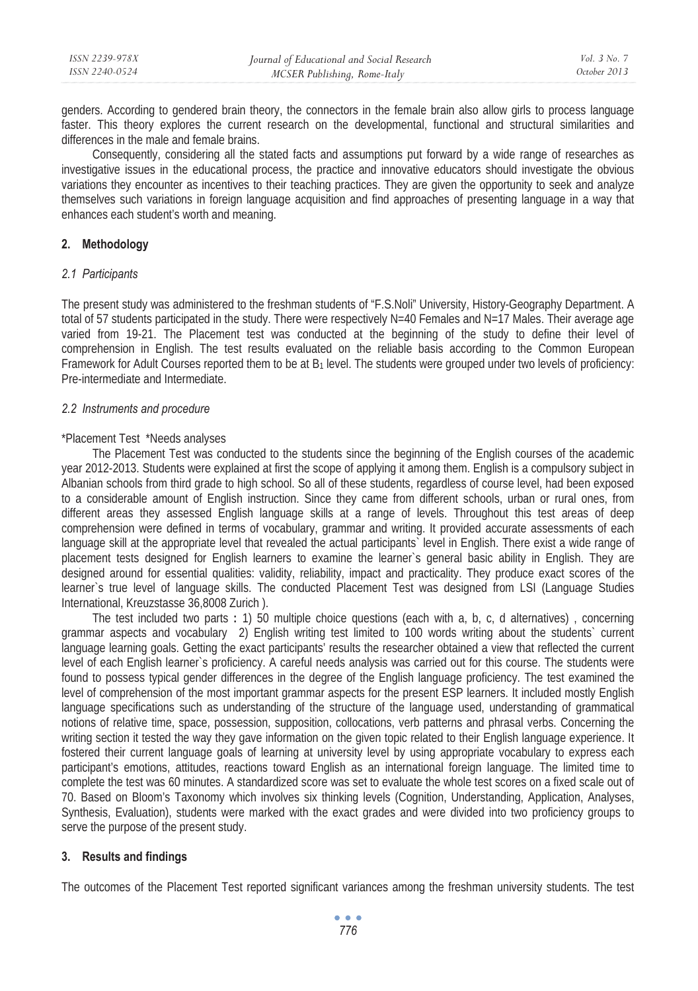| ISSN 2239-978X | Journal of Educational and Social Research | Vol. 3 No. 7 |
|----------------|--------------------------------------------|--------------|
| ISSN 2240-0524 | MCSER Publishing, Rome-Italy               | October 2013 |
|                |                                            |              |

genders. According to gendered brain theory, the connectors in the female brain also allow girls to process language faster. This theory explores the current research on the developmental, functional and structural similarities and differences in the male and female brains.

Consequently, considering all the stated facts and assumptions put forward by a wide range of researches as investigative issues in the educational process, the practice and innovative educators should investigate the obvious variations they encounter as incentives to their teaching practices. They are given the opportunity to seek and analyze themselves such variations in foreign language acquisition and find approaches of presenting language in a way that enhances each student's worth and meaning.

## **2. Methodology**

#### *2.1 Participants*

The present study was administered to the freshman students of "F.S.Noli" University, History-Geography Department. A total of 57 students participated in the study. There were respectively N=40 Females and N=17 Males. Their average age varied from 19-21. The Placement test was conducted at the beginning of the study to define their level of comprehension in English. The test results evaluated on the reliable basis according to the Common European Framework for Adult Courses reported them to be at B<sub>1</sub> level. The students were grouped under two levels of proficiency: Pre-intermediate and Intermediate.

## *2.2 Instruments and procedure*

## \*Placement Test \*Needs analyses

The Placement Test was conducted to the students since the beginning of the English courses of the academic year 2012-2013. Students were explained at first the scope of applying it among them. English is a compulsory subject in Albanian schools from third grade to high school. So all of these students, regardless of course level, had been exposed to a considerable amount of English instruction. Since they came from different schools, urban or rural ones, from different areas they assessed English language skills at a range of levels. Throughout this test areas of deep comprehension were defined in terms of vocabulary, grammar and writing. It provided accurate assessments of each language skill at the appropriate level that revealed the actual participants` level in English. There exist a wide range of placement tests designed for English learners to examine the learner`s general basic ability in English. They are designed around for essential qualities: validity, reliability, impact and practicality. They produce exact scores of the learner`s true level of language skills. The conducted Placement Test was designed from LSI (Language Studies International, Kreuzstasse 36,8008 Zurich ).

The test included two parts **:** 1) 50 multiple choice questions (each with a, b, c, d alternatives) , concerning grammar aspects and vocabulary 2) English writing test limited to 100 words writing about the students` current language learning goals. Getting the exact participants' results the researcher obtained a view that reflected the current level of each English learner`s proficiency. A careful needs analysis was carried out for this course. The students were found to possess typical gender differences in the degree of the English language proficiency. The test examined the level of comprehension of the most important grammar aspects for the present ESP learners. It included mostly English language specifications such as understanding of the structure of the language used, understanding of grammatical notions of relative time, space, possession, supposition, collocations, verb patterns and phrasal verbs. Concerning the writing section it tested the way they gave information on the given topic related to their English language experience. It fostered their current language goals of learning at university level by using appropriate vocabulary to express each participant's emotions, attitudes, reactions toward English as an international foreign language. The limited time to complete the test was 60 minutes. A standardized score was set to evaluate the whole test scores on a fixed scale out of 70. Based on Bloom's Taxonomy which involves six thinking levels (Cognition, Understanding, Application, Analyses, Synthesis, Evaluation), students were marked with the exact grades and were divided into two proficiency groups to serve the purpose of the present study.

## **3. Results and findings**

The outcomes of the Placement Test reported significant variances among the freshman university students. The test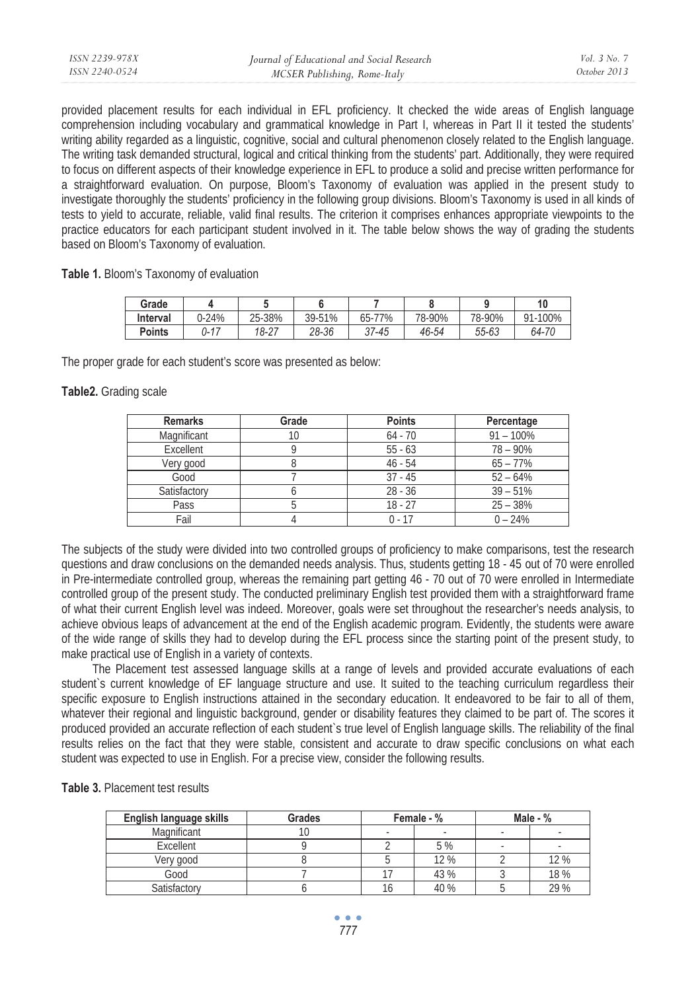| ISSN 2239-978X | Journal of Educational and Social Research | Vol. 3 No. 7 |
|----------------|--------------------------------------------|--------------|
| ISSN 2240-0524 | MCSER Publishing, Rome-Italy               | October 2013 |
|                |                                            |              |

provided placement results for each individual in EFL proficiency. It checked the wide areas of English language comprehension including vocabulary and grammatical knowledge in Part I, whereas in Part II it tested the students' writing ability regarded as a linguistic, cognitive, social and cultural phenomenon closely related to the English language. The writing task demanded structural, logical and critical thinking from the students' part. Additionally, they were required to focus on different aspects of their knowledge experience in EFL to produce a solid and precise written performance for a straightforward evaluation. On purpose, Bloom's Taxonomy of evaluation was applied in the present study to investigate thoroughly the students' proficiency in the following group divisions. Bloom's Taxonomy is used in all kinds of tests to yield to accurate, reliable, valid final results. The criterion it comprises enhances appropriate viewpoints to the practice educators for each participant student involved in it. The table below shows the way of grading the students based on Bloom's Taxonomy of evaluation.

**Table 1.** Bloom's Taxonomy of evaluation

| Grade         |           |        |        |            |        |        | 10                    |
|---------------|-----------|--------|--------|------------|--------|--------|-----------------------|
| Interval      | 0-24%     | 25-38% | 39-51% | 77%<br>65- | 78-90% | 78-90% | $-100%$<br>Q1.<br>. . |
| <b>Points</b> | .47<br>ı- | 18-27  | 28-36  | 37-45      | 46-54  | 55-63  | 64-70                 |

The proper grade for each student's score was presented as below:

## **Table2.** Grading scale

| <b>Remarks</b> | Grade | <b>Points</b> | Percentage   |
|----------------|-------|---------------|--------------|
| Magnificant    | 10    | $64 - 70$     | $91 - 100\%$ |
| Excellent      |       | $55 - 63$     | $78 - 90\%$  |
| Very good      |       | $46 - 54$     | $65 - 77%$   |
| Good           |       | $37 - 45$     | $52 - 64%$   |
| Satisfactory   |       | $28 - 36$     | $39 - 51%$   |
| Pass           |       | $18 - 27$     | $25 - 38%$   |
| Fail           |       | $0 - 17$      | $0 - 24%$    |

The subjects of the study were divided into two controlled groups of proficiency to make comparisons, test the research questions and draw conclusions on the demanded needs analysis. Thus, students getting 18 - 45 out of 70 were enrolled in Pre-intermediate controlled group, whereas the remaining part getting 46 - 70 out of 70 were enrolled in Intermediate controlled group of the present study. The conducted preliminary English test provided them with a straightforward frame of what their current English level was indeed. Moreover, goals were set throughout the researcher's needs analysis, to achieve obvious leaps of advancement at the end of the English academic program. Evidently, the students were aware of the wide range of skills they had to develop during the EFL process since the starting point of the present study, to make practical use of English in a variety of contexts.

The Placement test assessed language skills at a range of levels and provided accurate evaluations of each student's current knowledge of EF language structure and use. It suited to the teaching curriculum regardless their specific exposure to English instructions attained in the secondary education. It endeavored to be fair to all of them, whatever their regional and linguistic background, gender or disability features they claimed to be part of. The scores it produced provided an accurate reflection of each student`s true level of English language skills. The reliability of the final results relies on the fact that they were stable, consistent and accurate to draw specific conclusions on what each student was expected to use in English. For a precise view, consider the following results.

| <b>Table 3. Placement test results</b> |
|----------------------------------------|
|----------------------------------------|

| English language skills | <b>Grades</b> |     | Female - % | Male - % |
|-------------------------|---------------|-----|------------|----------|
| Magnificant             |               |     |            |          |
| Excellent               |               |     | 5 %        |          |
| Very good               |               |     | 12 %       | 12 %     |
| Good                    |               |     | 43 %       | 18 %     |
| Satisfactory            |               | , O | 40 %       | 29 %     |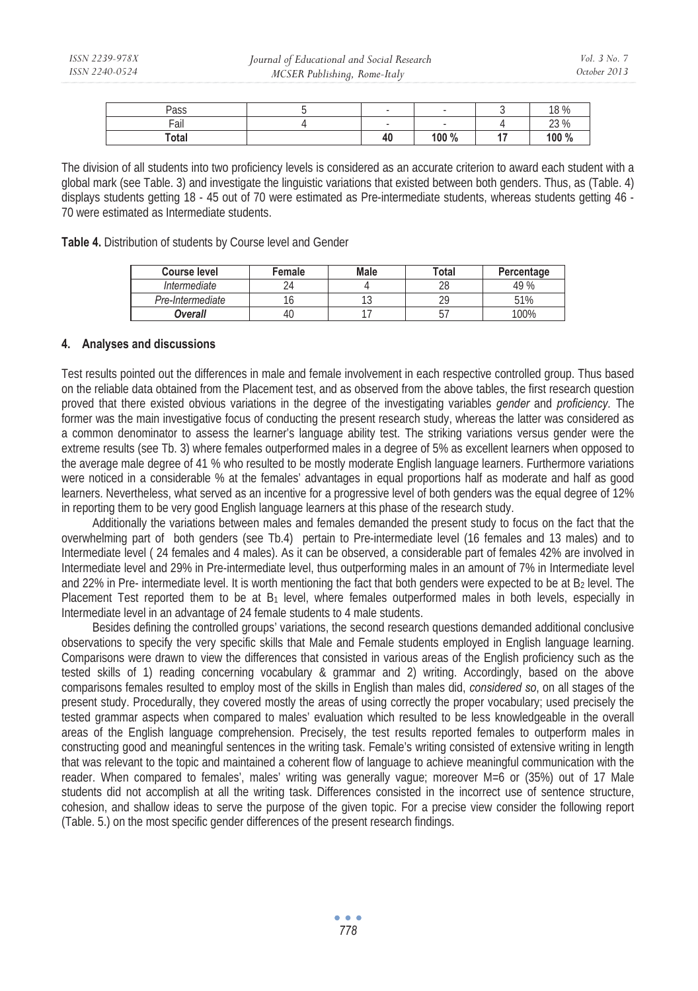| Pass      | -      | -     |                | 18 %                |
|-----------|--------|-------|----------------|---------------------|
| Fail<br>- | $\sim$ | -     |                | 220/<br>25 °<br>-70 |
| Total     | 40     | 100 % | $\overline{a}$ | 100 %               |

The division of all students into two proficiency levels is considered as an accurate criterion to award each student with a global mark (see Table. 3) and investigate the linguistic variations that existed between both genders. Thus, as (Table. 4) displays students getting 18 - 45 out of 70 were estimated as Pre-intermediate students, whereas students getting 46 - 70 were estimated as Intermediate students.

| Table 4. Distribution of students by Course level and Gender |  |
|--------------------------------------------------------------|--|
|--------------------------------------------------------------|--|

| <b>Course level</b> | Female | Male | Total    | Percentage |
|---------------------|--------|------|----------|------------|
| Intermediate        |        |      | ററ<br>Zō | 49 %       |
| Pre-Intermediate    |        |      | 20       | 51%        |
| <b>Overall</b>      | 41,    |      | J.       | 100%       |

#### **4. Analyses and discussions**

Test results pointed out the differences in male and female involvement in each respective controlled group. Thus based on the reliable data obtained from the Placement test, and as observed from the above tables, the first research question proved that there existed obvious variations in the degree of the investigating variables *gender* and *proficiency.* The former was the main investigative focus of conducting the present research study, whereas the latter was considered as a common denominator to assess the learner's language ability test. The striking variations versus gender were the extreme results (see Tb. 3) where females outperformed males in a degree of 5% as excellent learners when opposed to the average male degree of 41 % who resulted to be mostly moderate English language learners. Furthermore variations were noticed in a considerable % at the females' advantages in equal proportions half as moderate and half as good learners. Nevertheless, what served as an incentive for a progressive level of both genders was the equal degree of 12% in reporting them to be very good English language learners at this phase of the research study.

Additionally the variations between males and females demanded the present study to focus on the fact that the overwhelming part of both genders (see Tb.4) pertain to Pre-intermediate level (16 females and 13 males) and to Intermediate level ( 24 females and 4 males). As it can be observed, a considerable part of females 42% are involved in Intermediate level and 29% in Pre-intermediate level, thus outperforming males in an amount of 7% in Intermediate level and 22% in Pre- intermediate level. It is worth mentioning the fact that both genders were expected to be at B<sub>2</sub> level. The Placement Test reported them to be at  $B_1$  level, where females outperformed males in both levels, especially in Intermediate level in an advantage of 24 female students to 4 male students.

Besides defining the controlled groups' variations, the second research questions demanded additional conclusive observations to specify the very specific skills that Male and Female students employed in English language learning. Comparisons were drawn to view the differences that consisted in various areas of the English proficiency such as the tested skills of 1) reading concerning vocabulary & grammar and 2) writing. Accordingly, based on the above comparisons females resulted to employ most of the skills in English than males did, *considered so*, on all stages of the present study. Procedurally, they covered mostly the areas of using correctly the proper vocabulary; used precisely the tested grammar aspects when compared to males' evaluation which resulted to be less knowledgeable in the overall areas of the English language comprehension. Precisely, the test results reported females to outperform males in constructing good and meaningful sentences in the writing task. Female's writing consisted of extensive writing in length that was relevant to the topic and maintained a coherent flow of language to achieve meaningful communication with the reader. When compared to females', males' writing was generally vague; moreover M=6 or (35%) out of 17 Male students did not accomplish at all the writing task. Differences consisted in the incorrect use of sentence structure, cohesion, and shallow ideas to serve the purpose of the given topic. For a precise view consider the following report (Table. 5.) on the most specific gender differences of the present research findings.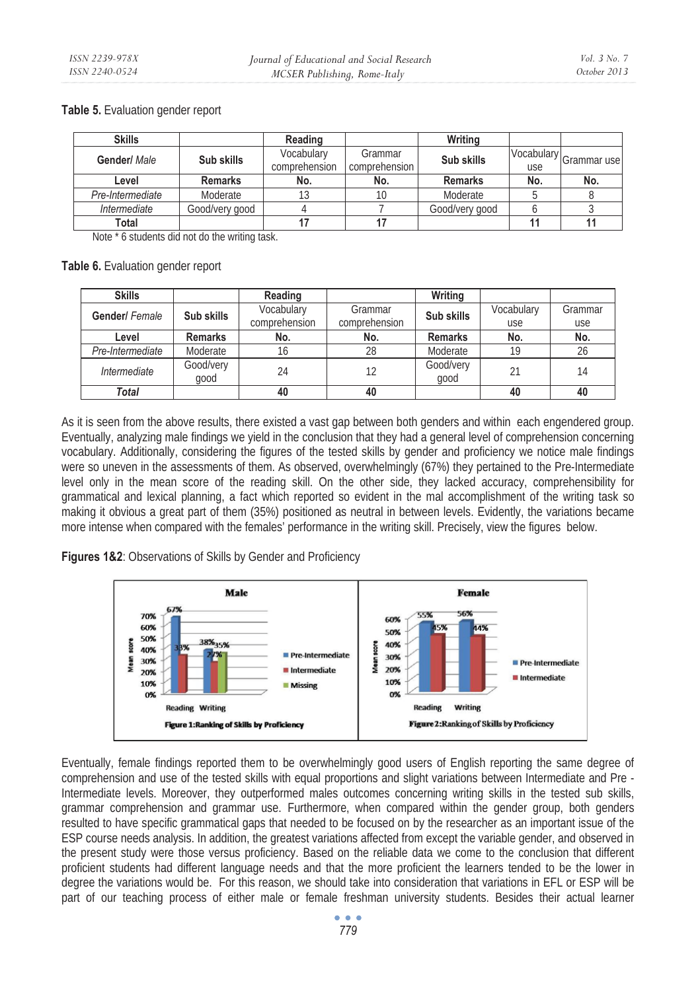|  | Table 5. Evaluation gender report |  |  |
|--|-----------------------------------|--|--|
|--|-----------------------------------|--|--|

| <b>Skills</b>       |                | Reading                     |                            | Writing        |     |                        |
|---------------------|----------------|-----------------------------|----------------------------|----------------|-----|------------------------|
| <b>Gender/ Male</b> | Sub skills     | Vocabulary<br>comprehension | Grammar<br>comprehension I | Sub skills     | use | Vocabulary Grammar use |
| Level               | <b>Remarks</b> | No.                         | No.                        | <b>Remarks</b> | No. | No.                    |
| Pre-Intermediate    | Moderate       | 13                          | 10                         | Moderate       |     |                        |
| Intermediate        | Good/very good |                             |                            | Good/very good |     |                        |
| Total               |                |                             |                            |                |     |                        |

Note \* 6 students did not do the writing task.

Table 6. Evaluation gender report

| <b>Skills</b>         |                   | Reading                     |                          | Writing           |                   |                |
|-----------------------|-------------------|-----------------------------|--------------------------|-------------------|-------------------|----------------|
| <b>Genderl Female</b> | Sub skills        | Vocabulary<br>comprehension | Grammar<br>comprehension | Sub skills        | Vocabulary<br>use | Grammar<br>use |
| Level                 | <b>Remarks</b>    | No.                         | No.                      | <b>Remarks</b>    | No.               | No.            |
| Pre-Intermediate      | Moderate          | 16                          | 28                       | Moderate          | 19                | 26             |
| Intermediate          | Good/very<br>good | 24                          | 12                       | Good/very<br>good | 21                | 14             |
| Total                 |                   | 40                          | 40                       |                   | 40                | 40             |

As it is seen from the above results, there existed a vast gap between both genders and within each engendered group. Eventually, analyzing male findings we yield in the conclusion that they had a general level of comprehension concerning vocabulary. Additionally, considering the figures of the tested skills by gender and proficiency we notice male findings were so uneven in the assessments of them. As observed, overwhelmingly (67%) they pertained to the Pre-Intermediate level only in the mean score of the reading skill. On the other side, they lacked accuracy, comprehensibility for grammatical and lexical planning, a fact which reported so evident in the mal accomplishment of the writing task so making it obvious a great part of them (35%) positioned as neutral in between levels. Evidently, the variations became more intense when compared with the females' performance in the writing skill. Precisely, view the figures below.

**Figures 1&2**: Observations of Skills by Gender and Proficiency



Eventually, female findings reported them to be overwhelmingly good users of English reporting the same degree of comprehension and use of the tested skills with equal proportions and slight variations between Intermediate and Pre - Intermediate levels. Moreover, they outperformed males outcomes concerning writing skills in the tested sub skills, grammar comprehension and grammar use. Furthermore, when compared within the gender group, both genders resulted to have specific grammatical gaps that needed to be focused on by the researcher as an important issue of the ESP course needs analysis. In addition, the greatest variations affected from except the variable gender, and observed in the present study were those versus proficiency. Based on the reliable data we come to the conclusion that different proficient students had different language needs and that the more proficient the learners tended to be the lower in degree the variations would be. For this reason, we should take into consideration that variations in EFL or ESP will be part of our teaching process of either male or female freshman university students. Besides their actual learner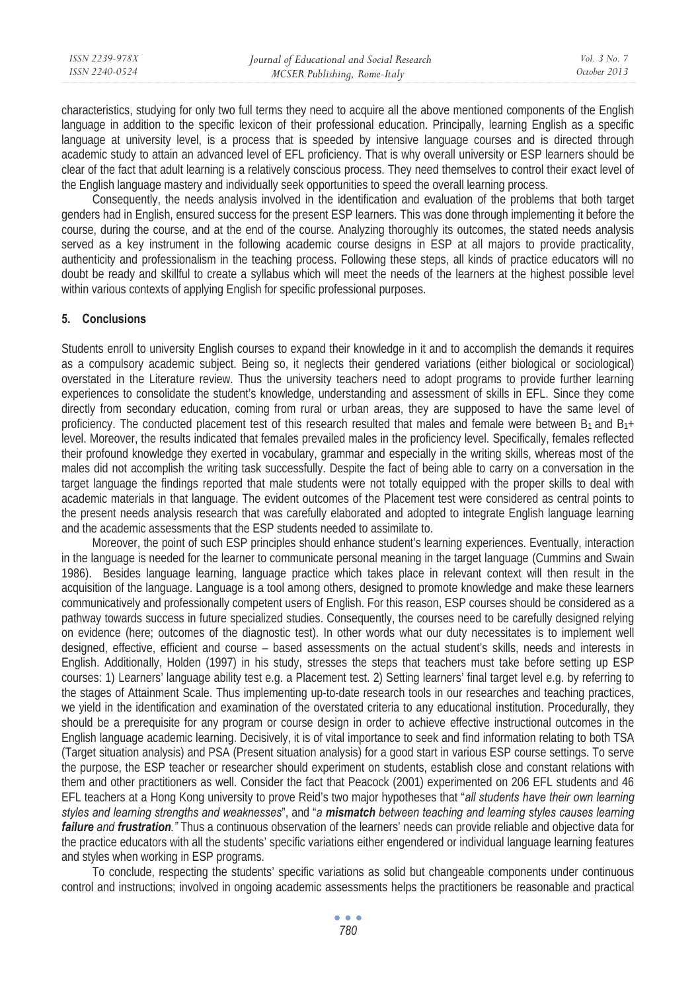| ISSN 2239-978X | Journal of Educational and Social Research | Vol. 3 No. 7 |
|----------------|--------------------------------------------|--------------|
| ISSN 2240-0524 | MCSER Publishing, Rome-Italy               | October 2013 |
|                |                                            |              |

characteristics, studying for only two full terms they need to acquire all the above mentioned components of the English language in addition to the specific lexicon of their professional education. Principally, learning English as a specific language at university level, is a process that is speeded by intensive language courses and is directed through academic study to attain an advanced level of EFL proficiency. That is why overall university or ESP learners should be clear of the fact that adult learning is a relatively conscious process. They need themselves to control their exact level of the English language mastery and individually seek opportunities to speed the overall learning process.

Consequently, the needs analysis involved in the identification and evaluation of the problems that both target genders had in English, ensured success for the present ESP learners. This was done through implementing it before the course, during the course, and at the end of the course. Analyzing thoroughly its outcomes, the stated needs analysis served as a key instrument in the following academic course designs in ESP at all majors to provide practicality, authenticity and professionalism in the teaching process. Following these steps, all kinds of practice educators will no doubt be ready and skillful to create a syllabus which will meet the needs of the learners at the highest possible level within various contexts of applying English for specific professional purposes.

## **5. Conclusions**

Students enroll to university English courses to expand their knowledge in it and to accomplish the demands it requires as a compulsory academic subject. Being so, it neglects their gendered variations (either biological or sociological) overstated in the Literature review. Thus the university teachers need to adopt programs to provide further learning experiences to consolidate the student's knowledge, understanding and assessment of skills in EFL. Since they come directly from secondary education, coming from rural or urban areas, they are supposed to have the same level of proficiency. The conducted placement test of this research resulted that males and female were between  $B_1$  and  $B_{1+}$ level. Moreover, the results indicated that females prevailed males in the proficiency level. Specifically, females reflected their profound knowledge they exerted in vocabulary, grammar and especially in the writing skills, whereas most of the males did not accomplish the writing task successfully. Despite the fact of being able to carry on a conversation in the target language the findings reported that male students were not totally equipped with the proper skills to deal with academic materials in that language. The evident outcomes of the Placement test were considered as central points to the present needs analysis research that was carefully elaborated and adopted to integrate English language learning and the academic assessments that the ESP students needed to assimilate to.

Moreover, the point of such ESP principles should enhance student's learning experiences. Eventually, interaction in the language is needed for the learner to communicate personal meaning in the target language (Cummins and Swain 1986). Besides language learning, language practice which takes place in relevant context will then result in the acquisition of the language. Language is a tool among others, designed to promote knowledge and make these learners communicatively and professionally competent users of English. For this reason, ESP courses should be considered as a pathway towards success in future specialized studies. Consequently, the courses need to be carefully designed relying on evidence (here; outcomes of the diagnostic test). In other words what our duty necessitates is to implement well designed, effective, efficient and course – based assessments on the actual student's skills, needs and interests in English. Additionally, Holden (1997) in his study, stresses the steps that teachers must take before setting up ESP courses: 1) Learners' language ability test e.g. a Placement test. 2) Setting learners' final target level e.g. by referring to the stages of Attainment Scale. Thus implementing up-to-date research tools in our researches and teaching practices, we yield in the identification and examination of the overstated criteria to any educational institution. Procedurally, they should be a prerequisite for any program or course design in order to achieve effective instructional outcomes in the English language academic learning. Decisively, it is of vital importance to seek and find information relating to both TSA (Target situation analysis) and PSA (Present situation analysis) for a good start in various ESP course settings. To serve the purpose, the ESP teacher or researcher should experiment on students, establish close and constant relations with them and other practitioners as well. Consider the fact that Peacock (2001) experimented on 206 EFL students and 46 EFL teachers at a Hong Kong university to prove Reid's two major hypotheses that "*all students have their own learning styles and learning strengths and weaknesses*", and "*a mismatch between teaching and learning styles causes learning failure and frustration."* Thus a continuous observation of the learners' needs can provide reliable and objective data for the practice educators with all the students' specific variations either engendered or individual language learning features and styles when working in ESP programs.

To conclude, respecting the students' specific variations as solid but changeable components under continuous control and instructions; involved in ongoing academic assessments helps the practitioners be reasonable and practical